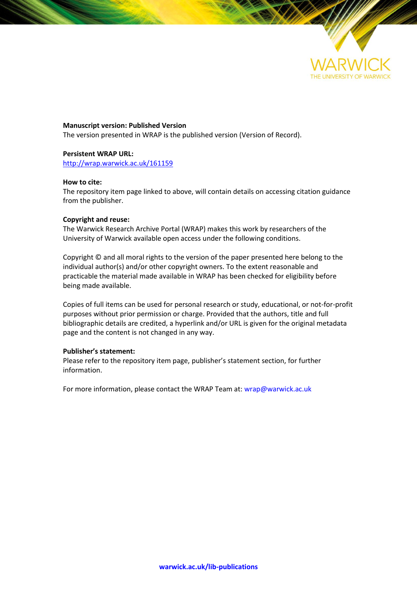

**Manuscript version: Published Version**

The version presented in WRAP is the published version (Version of Record).

### **Persistent WRAP URL:**

<http://wrap.warwick.ac.uk/161159>

# **How to cite:**

The repository item page linked to above, will contain details on accessing citation guidance from the publisher.

### **Copyright and reuse:**

The Warwick Research Archive Portal (WRAP) makes this work by researchers of the University of Warwick available open access under the following conditions.

Copyright © and all moral rights to the version of the paper presented here belong to the individual author(s) and/or other copyright owners. To the extent reasonable and practicable the material made available in WRAP has been checked for eligibility before being made available.

Copies of full items can be used for personal research or study, educational, or not-for-profit purposes without prior permission or charge. Provided that the authors, title and full bibliographic details are credited, a hyperlink and/or URL is given for the original metadata page and the content is not changed in any way.

# **Publisher's statement:**

Please refer to the repository item page, publisher's statement section, for further information.

For more information, please contact the WRAP Team at[: wrap@warwick.ac.uk](mailto:wrap@warwick.ac.uk)